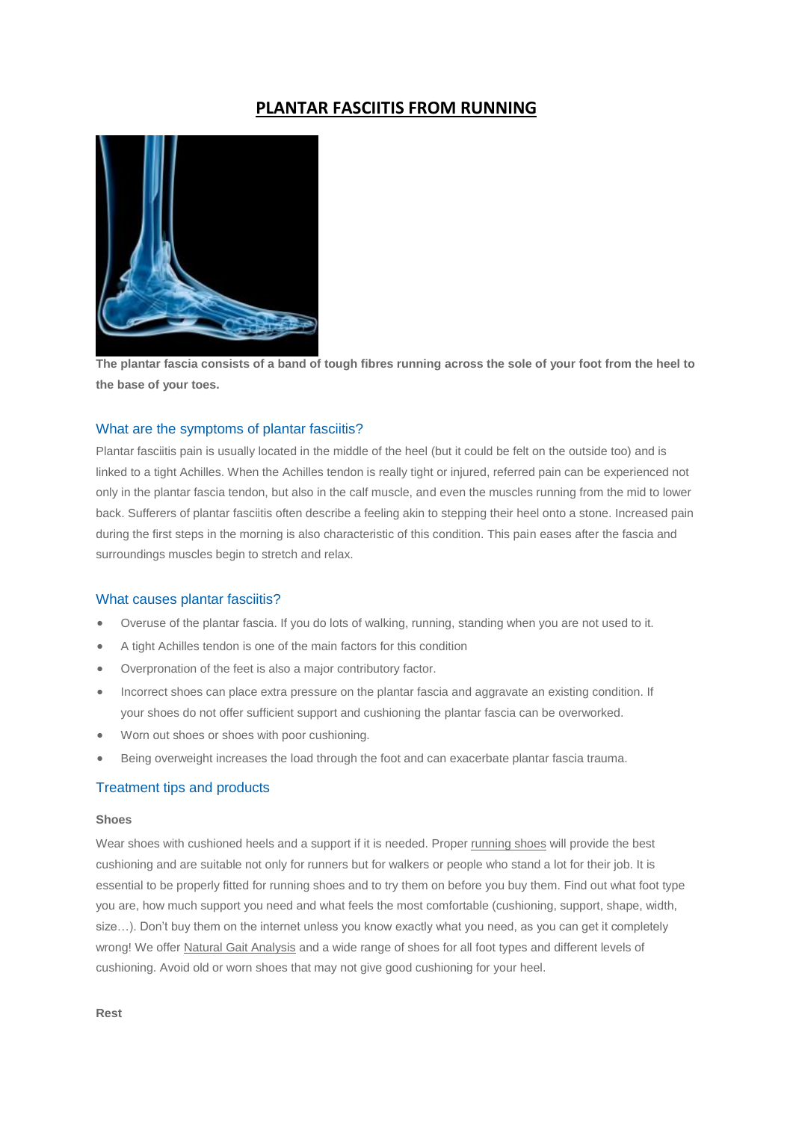# **PLANTAR FASCIITIS FROM RUNNING**



**The plantar fascia consists of a band of tough fibres running across the sole of your foot from the heel to the base of your toes.**

# What are the symptoms of plantar fasciitis?

Plantar fasciitis pain is usually located in the middle of the heel (but it could be felt on the outside too) and is linked to a tight Achilles. When the Achilles tendon is really tight or injured, referred pain can be experienced not only in the plantar fascia tendon, but also in the calf muscle, and even the muscles running from the mid to lower back. Sufferers of plantar fasciitis often describe a feeling akin to stepping their heel onto a stone. Increased pain during the first steps in the morning is also characteristic of this condition. This pain eases after the fascia and surroundings muscles begin to stretch and relax.

## What causes plantar fasciitis?

- Overuse of the plantar fascia. If you do lots of walking, running, standing when you are not used to it.
- A tight Achilles tendon is one of the main factors for this condition
- Overpronation of the feet is also a major contributory factor.
- Incorrect shoes can place extra pressure on the plantar fascia and aggravate an existing condition. If your shoes do not offer sufficient support and cushioning the plantar fascia can be overworked.
- Worn out shoes or shoes with poor cushioning.
- Being overweight increases the load through the foot and can exacerbate plantar fascia trauma.

## Treatment tips and products

#### **Shoes**

Wear shoes with cushioned heels and a support if it is needed. Prope[r running shoes](http://www.runandbecome.com/Running-Shoes) will provide the best cushioning and are suitable not only for runners but for walkers or people who stand a lot for their job. It is essential to be properly fitted for running shoes and to try them on before you buy them. Find out what foot type you are, how much support you need and what feels the most comfortable (cushioning, support, shape, width, size...). Don't buy them on the internet unless you know exactly what you need, as you can get it completely wrong! We offer [Natural Gait Analysis](http://www.runandbecome.com/Expertise/Natural-Gait-Analysis) and a wide range of shoes for all foot types and different levels of cushioning. Avoid old or worn shoes that may not give good cushioning for your heel.